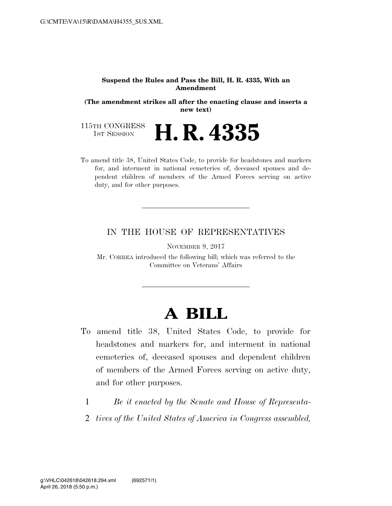## **Suspend the Rules and Pass the Bill, H. R. 4335, With an Amendment**

**(The amendment strikes all after the enacting clause and inserts a new text)** 

115TH CONGRESS<br>1st Session **H. R. 4335** 

To amend title 38, United States Code, to provide for headstones and markers for, and interment in national cemeteries of, deceased spouses and dependent children of members of the Armed Forces serving on active duty, and for other purposes.

## IN THE HOUSE OF REPRESENTATIVES

NOVEMBER 9, 2017

Mr. CORREA introduced the following bill; which was referred to the Committee on Veterans' Affairs

## **A BILL**

- To amend title 38, United States Code, to provide for headstones and markers for, and interment in national cemeteries of, deceased spouses and dependent children of members of the Armed Forces serving on active duty, and for other purposes.
	- 1 *Be it enacted by the Senate and House of Representa-*
	- 2 *tives of the United States of America in Congress assembled,*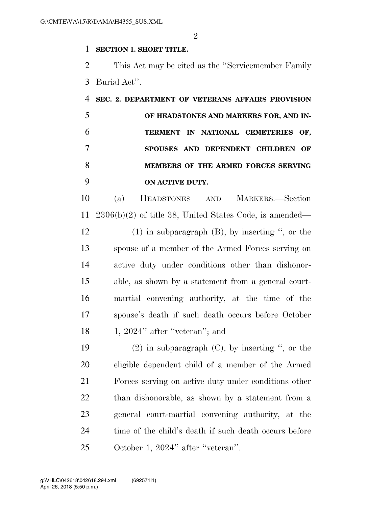$\mathfrak{D}$ 

## **SECTION 1. SHORT TITLE.**

 This Act may be cited as the ''Servicemember Family Burial Act''.

 **SEC. 2. DEPARTMENT OF VETERANS AFFAIRS PROVISION OF HEADSTONES AND MARKERS FOR, AND IN- TERMENT IN NATIONAL CEMETERIES OF, SPOUSES AND DEPENDENT CHILDREN OF MEMBERS OF THE ARMED FORCES SERVING ON ACTIVE DUTY.** 

 (a) HEADSTONES AND MARKERS.—Section 2306(b)(2) of title 38, United States Code, is amended— (1) in subparagraph (B), by inserting '', or the spouse of a member of the Armed Forces serving on active duty under conditions other than dishonor- able, as shown by a statement from a general court- martial convening authority, at the time of the spouse's death if such death occurs before October 18 1, 2024" after "veteran"; and

19 (2) in subparagraph  $(C)$ , by inserting ", or the eligible dependent child of a member of the Armed Forces serving on active duty under conditions other than dishonorable, as shown by a statement from a general court-martial convening authority, at the 24 time of the child's death if such death occurs before October 1, 2024'' after ''veteran''.